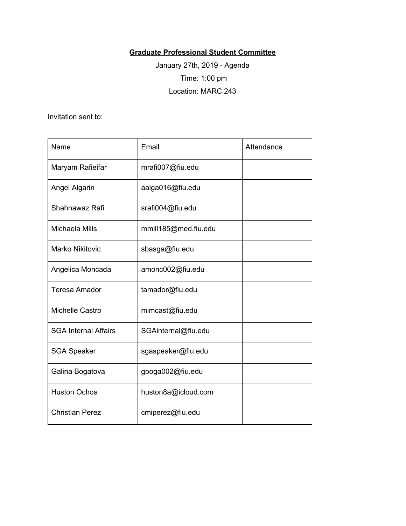## **Graduate Professional Student Committee**

January 27th, 2019 - Agenda Time: 1:00 pm Location: MARC 243

Invitation sent to:

| Name                        | Email                | Attendance |
|-----------------------------|----------------------|------------|
| Maryam Rafieifar            | mrafi007@fiu.edu     |            |
| Angel Algarin               | aalga016@fiu.edu     |            |
| Shahnawaz Rafi              | srafi004@fiu.edu     |            |
| Michaela Mills              | mmill185@med.fiu.edu |            |
| <b>Marko Nikitovic</b>      | sbasga@fiu.edu       |            |
| Angelica Moncada            | amonc002@fiu.edu     |            |
| <b>Teresa Amador</b>        | tamador@fiu.edu      |            |
| Michelle Castro             | mimcast@fiu.edu      |            |
| <b>SGA Internal Affairs</b> | SGAinternal@fiu.edu  |            |
| <b>SGA Speaker</b>          | sgaspeaker@fiu.edu   |            |
| Galina Bogatova             | gboga002@fiu.edu     |            |
| <b>Huston Ochoa</b>         | huston8a@icloud.com  |            |
| <b>Christian Perez</b>      | cmiperez@fiu.edu     |            |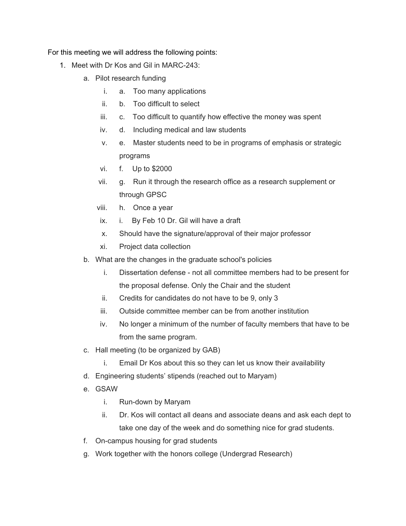For this meeting we will address the following points:

- 1. Meet with Dr Kos and Gil in MARC-243:
	- a. Pilot research funding
		- i. a. Too many applications
		- ii. b. Too difficult to select
		- iii. c. Too difficult to quantify how effective the money was spent
		- iv. d. Including medical and law students
		- v. e. Master students need to be in programs of emphasis or strategic programs
		- vi. f. Up to \$2000
		- vii. g. Run it through the research office as a research supplement or through GPSC
		- viii. h. Once a year
		- ix. i. By Feb 10 Dr. Gil will have a draft
		- x. Should have the signature/approval of their major professor
		- xi. Project data collection
	- b. What are the changes in the graduate school's policies
		- i. Dissertation defense not all committee members had to be present for the proposal defense. Only the Chair and the student
		- ii. Credits for candidates do not have to be 9, only 3
		- iii. Outside committee member can be from another institution
		- iv. No longer a minimum of the number of faculty members that have to be from the same program.
	- c. Hall meeting (to be organized by GAB)
		- i. Email Dr Kos about this so they can let us know their availability
	- d. Engineering students' stipends (reached out to Maryam)
	- e. GSAW
		- i. Run-down by Maryam
		- ii. Dr. Kos will contact all deans and associate deans and ask each dept to take one day of the week and do something nice for grad students.
	- f. On-campus housing for grad students
	- g. Work together with the honors college (Undergrad Research)